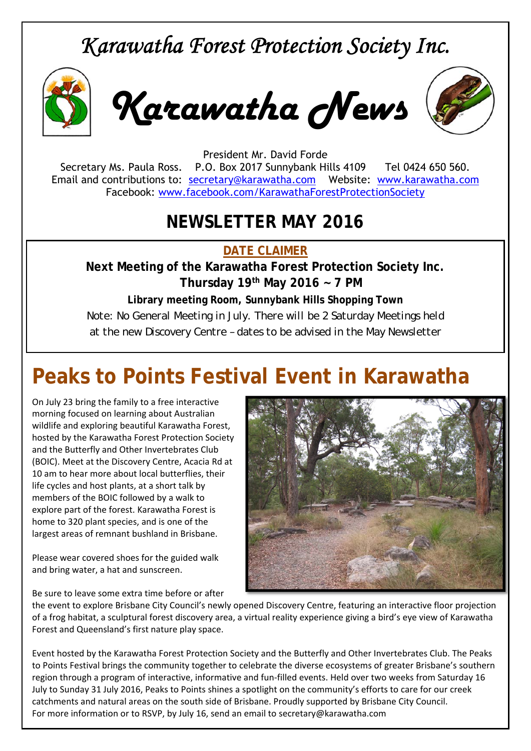# *Karawatha Forest Protection Society Inc.*



*Karawatha News*



President Mr. David Forde Secretary Ms. Paula Ross. P.O. Box 2017 Sunnybank Hills 4109 Tel 0424 650 560. Email and contributions to: secretary@karawatha.com Website: www.karawatha.com Facebook: www.facebook.com/KarawathaForestProtectionSociety

### **NEWSLETTER MAY 2016**

**DATE CLAIMER** 

**Next Meeting of the Karawatha Forest Protection Society Inc. Thursday 19th May 2016 ~ 7 PM** 

**Library meeting Room, Sunnybank Hills Shopping Town**  *Note: No General Meeting in July. There will be 2 Saturday Meetings held at the new Discovery Centre – dates to be advised in the May Newsletter* 

# **Peaks to Points Festival Event in Karawatha**

On July 23 bring the family to a free interactive morning focused on learning about Australian wildlife and exploring beautiful Karawatha Forest, hosted by the Karawatha Forest Protection Society and the Butterfly and Other Invertebrates Club (BOIC). Meet at the Discovery Centre, Acacia Rd at 10 am to hear more about local butterflies, their life cycles and host plants, at a short talk by members of the BOIC followed by a walk to explore part of the forest. Karawatha Forest is home to 320 plant species, and is one of the largest areas of remnant bushland in Brisbane.

Please wear covered shoes for the guided walk and bring water, a hat and sunscreen.

Be sure to leave some extra time before or after



the event to explore Brisbane City Council's newly opened Discovery Centre, featuring an interactive floor projection of a frog habitat, a sculptural forest discovery area, a virtual reality experience giving a bird's eye view of Karawatha Forest and Queensland's first nature play space.

Event hosted by the Karawatha Forest Protection Society and the Butterfly and Other Invertebrates Club. The Peaks to Points Festival brings the community together to celebrate the diverse ecosystems of greater Brisbane's southern region through a program of interactive, informative and fun-filled events. Held over two weeks from Saturday 16 July to Sunday 31 July 2016, Peaks to Points shines a spotlight on the community's efforts to care for our creek catchments and natural areas on the south side of Brisbane. Proudly supported by Brisbane City Council. For more information or to RSVP, by July 16, send an email to secretary@karawatha.com